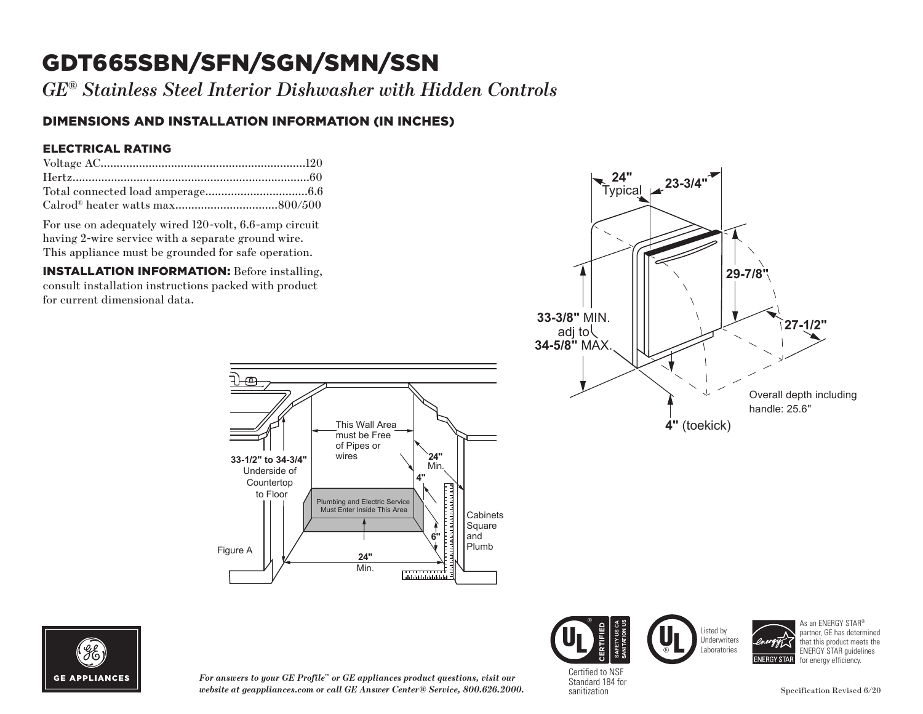# GDT665SBN/SFN/SGN/SMN/SSN

*GE® Stainless Steel Interior Dishwasher with Hidden Controls*

### DIMENSIONS AND INSTALLATION INFORMATION (IN INCHES)

#### ELECTRICAL RATING

For use on adequately wired 120-volt, 6.6-amp circuit having 2-wire service with a separate ground wire. This appliance must be grounded for safe operation.

INSTALLATION INFORMATION: Before installing, consult installation instructions packed with product for current dimensional data.









As an ENERGY STAR® partner, GE has determined that this product meets the ENERGY STAR guidelines for energy efficiency.



*For answers to your GE Profile™ or GE appliances product questions, visit our website at geappliances.com or call GE Answer Center® Service, 800.626.2000.* Certified to NSF Standard 184 for